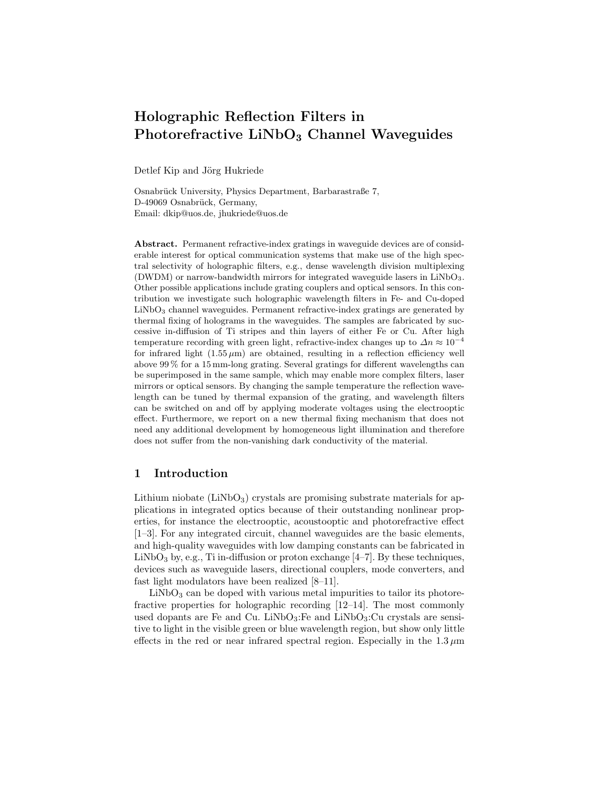# Holographic Reflection Filters in Photorefractive  $LiNbO<sub>3</sub>$  Channel Waveguides

Detlef Kip and Jörg Hukriede

Osnabrück University, Physics Department, Barbarastraße 7, D-49069 Osnabrück, Germany, Email: dkip@uos.de, jhukriede@uos.de

Abstract. Permanent refractive-index gratings in waveguide devices are of considerable interest for optical communication systems that make use of the high spectral selectivity of holographic filters, e.g., dense wavelength division multiplexing (DWDM) or narrow-bandwidth mirrors for integrated waveguide lasers in LiNbO3. Other possible applications include grating couplers and optical sensors. In this contribution we investigate such holographic wavelength filters in Fe- and Cu-doped LiNbO<sub>3</sub> channel waveguides. Permanent refractive-index gratings are generated by thermal fixing of holograms in the waveguides. The samples are fabricated by successive in-diffusion of Ti stripes and thin layers of either Fe or Cu. After high temperature recording with green light, refractive-index changes up to  $\Delta n \approx 10^{-4}$ for infrared light  $(1.55 \,\mu\text{m})$  are obtained, resulting in a reflection efficiency well above 99 % for a 15 mm-long grating. Several gratings for different wavelengths can be superimposed in the same sample, which may enable more complex filters, laser mirrors or optical sensors. By changing the sample temperature the reflection wavelength can be tuned by thermal expansion of the grating, and wavelength filters can be switched on and off by applying moderate voltages using the electrooptic effect. Furthermore, we report on a new thermal fixing mechanism that does not need any additional development by homogeneous light illumination and therefore does not suffer from the non-vanishing dark conductivity of the material.

## 1 Introduction

Lithium niobate  $(LiNbO<sub>3</sub>)$  crystals are promising substrate materials for applications in integrated optics because of their outstanding nonlinear properties, for instance the electrooptic, acoustooptic and photorefractive effect [1–3]. For any integrated circuit, channel waveguides are the basic elements, and high-quality waveguides with low damping constants can be fabricated in LiNbO<sub>3</sub> by, e.g., Ti in-diffusion or proton exchange  $[4-7]$ . By these techniques, devices such as waveguide lasers, directional couplers, mode converters, and fast light modulators have been realized [8–11].

 $LiNbO<sub>3</sub>$  can be doped with various metal impurities to tailor its photorefractive properties for holographic recording [12–14]. The most commonly used dopants are Fe and Cu. LiNbO<sub>3</sub>:Fe and LiNbO<sub>3</sub>:Cu crystals are sensitive to light in the visible green or blue wavelength region, but show only little effects in the red or near infrared spectral region. Especially in the  $1.3 \mu m$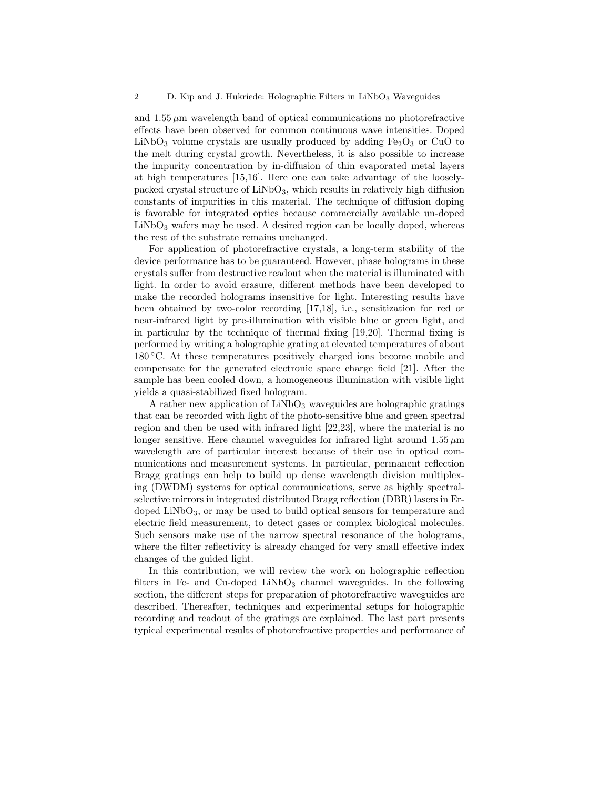and  $1.55 \mu m$  wavelength band of optical communications no photorefractive effects have been observed for common continuous wave intensities. Doped  $LiNbO<sub>3</sub>$  volume crystals are usually produced by adding  $Fe<sub>2</sub>O<sub>3</sub>$  or CuO to the melt during crystal growth. Nevertheless, it is also possible to increase the impurity concentration by in-diffusion of thin evaporated metal layers at high temperatures [15,16]. Here one can take advantage of the looselypacked crystal structure of  $LiNbO<sub>3</sub>$ , which results in relatively high diffusion constants of impurities in this material. The technique of diffusion doping is favorable for integrated optics because commercially available un-doped  $LiNbO<sub>3</sub>$  wafers may be used. A desired region can be locally doped, whereas the rest of the substrate remains unchanged.

For application of photorefractive crystals, a long-term stability of the device performance has to be guaranteed. However, phase holograms in these crystals suffer from destructive readout when the material is illuminated with light. In order to avoid erasure, different methods have been developed to make the recorded holograms insensitive for light. Interesting results have been obtained by two-color recording [17,18], i.e., sensitization for red or near-infrared light by pre-illumination with visible blue or green light, and in particular by the technique of thermal fixing [19,20]. Thermal fixing is performed by writing a holographic grating at elevated temperatures of about 180 ◦C. At these temperatures positively charged ions become mobile and compensate for the generated electronic space charge field [21]. After the sample has been cooled down, a homogeneous illumination with visible light yields a quasi-stabilized fixed hologram.

A rather new application of  $LiNbO<sub>3</sub>$  waveguides are holographic gratings that can be recorded with light of the photo-sensitive blue and green spectral region and then be used with infrared light [22,23], where the material is no longer sensitive. Here channel waveguides for infrared light around  $1.55 \mu m$ wavelength are of particular interest because of their use in optical communications and measurement systems. In particular, permanent reflection Bragg gratings can help to build up dense wavelength division multiplexing (DWDM) systems for optical communications, serve as highly spectralselective mirrors in integrated distributed Bragg reflection (DBR) lasers in Erdoped  $LiNbO<sub>3</sub>$ , or may be used to build optical sensors for temperature and electric field measurement, to detect gases or complex biological molecules. Such sensors make use of the narrow spectral resonance of the holograms, where the filter reflectivity is already changed for very small effective index changes of the guided light.

In this contribution, we will review the work on holographic reflection filters in Fe- and Cu-doped LiNbO<sub>3</sub> channel waveguides. In the following section, the different steps for preparation of photorefractive waveguides are described. Thereafter, techniques and experimental setups for holographic recording and readout of the gratings are explained. The last part presents typical experimental results of photorefractive properties and performance of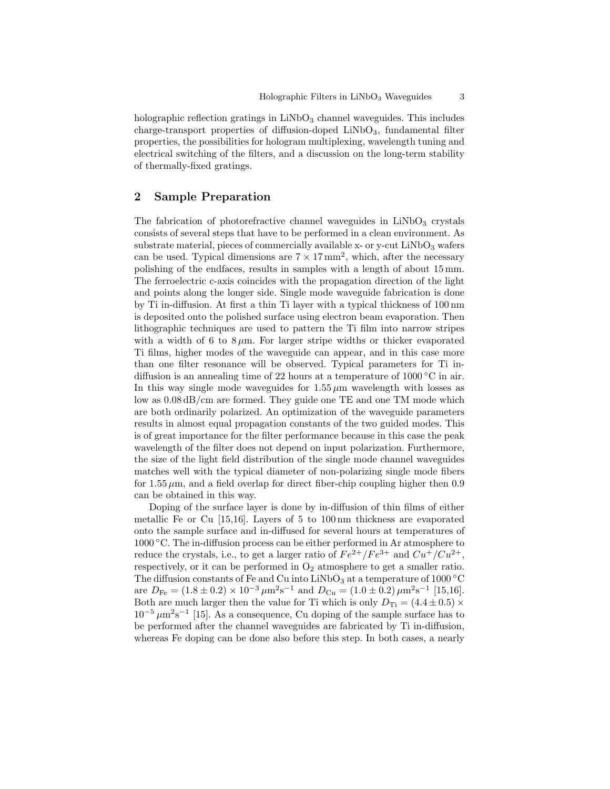holographic reflection gratings in  $LiNbO<sub>3</sub>$  channel waveguides. This includes charge-transport properties of diffusion-doped  $LiNbO<sub>3</sub>$ , fundamental filter properties, the possibilities for hologram multiplexing, wavelength tuning and electrical switching of the filters, and a discussion on the long-term stability of thermally-fixed gratings.

# 2 Sample Preparation

The fabrication of photorefractive channel waveguides in  $LiNbO<sub>3</sub>$  crystals consists of several steps that have to be performed in a clean environment. As substrate material, pieces of commercially available x- or y-cut  $LiNbO<sub>3</sub>$  wafers can be used. Typical dimensions are  $7 \times 17$  mm<sup>2</sup>, which, after the necessary polishing of the endfaces, results in samples with a length of about 15 mm. The ferroelectric c-axis coincides with the propagation direction of the light and points along the longer side. Single mode waveguide fabrication is done by Ti in-diffusion. At first a thin Ti layer with a typical thickness of 100 nm is deposited onto the polished surface using electron beam evaporation. Then lithographic techniques are used to pattern the Ti film into narrow stripes with a width of 6 to 8 $\mu$ m. For larger stripe widths or thicker evaporated Ti films, higher modes of the waveguide can appear, and in this case more than one filter resonance will be observed. Typical parameters for Ti indiffusion is an annealing time of 22 hours at a temperature of 1000 ◦C in air. In this way single mode waveguides for  $1.55 \mu m$  wavelength with losses as low as 0.08 dB/cm are formed. They guide one TE and one TM mode which are both ordinarily polarized. An optimization of the waveguide parameters results in almost equal propagation constants of the two guided modes. This is of great importance for the filter performance because in this case the peak wavelength of the filter does not depend on input polarization. Furthermore, the size of the light field distribution of the single mode channel waveguides matches well with the typical diameter of non-polarizing single mode fibers for 1.55  $\mu$ m, and a field overlap for direct fiber-chip coupling higher then 0.9 can be obtained in this way.

Doping of the surface layer is done by in-diffusion of thin films of either metallic Fe or Cu [15,16]. Layers of 5 to 100 nm thickness are evaporated onto the sample surface and in-diffused for several hours at temperatures of 1000 ◦C. The in-diffusion process can be either performed in Ar atmosphere to reduce the crystals, i.e., to get a larger ratio of  $Fe^{2+}/Fe^{3+}$  and  $Cu^{+}/Cu^{2+}$ , respectively, or it can be performed in  $O_2$  atmosphere to get a smaller ratio. The diffusion constants of Fe and Cu into  $LiNbO<sub>3</sub>$  at a temperature of 1000 °C are  $D_{\text{Fe}} = (1.8 \pm 0.2) \times 10^{-3} \,\mu\text{m}^2\text{s}^{-1}$  and  $D_{\text{Cu}} = (1.0 \pm 0.2) \,\mu\text{m}^2\text{s}^{-1}$  [15,16]. Both are much larger then the value for Ti which is only  $D_{\text{Ti}} = (4.4 \pm 0.5) \times$  $10^{-5} \mu m^2 s^{-1}$  [15]. As a consequence, Cu doping of the sample surface has to be performed after the channel waveguides are fabricated by Ti in-diffusion, whereas Fe doping can be done also before this step. In both cases, a nearly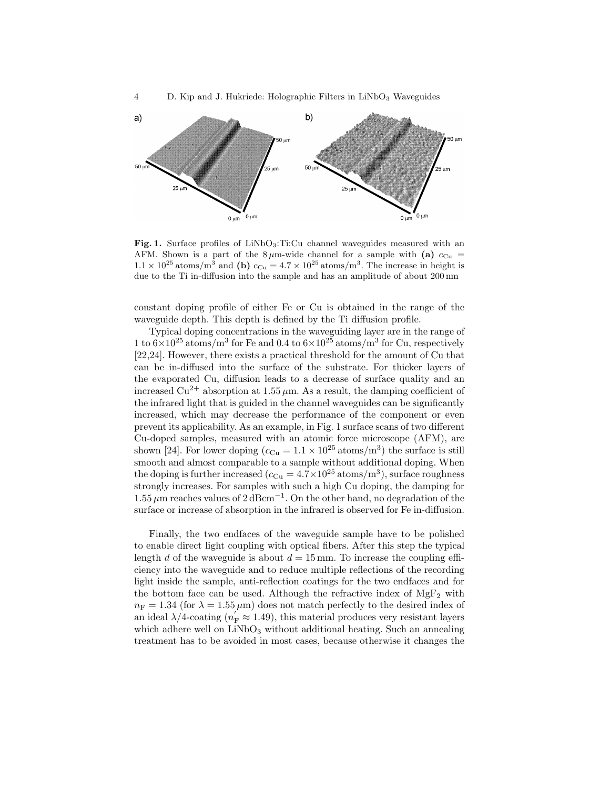

Fig. 1. Surface profiles of  $LiNbO<sub>3</sub>:Ti:Cu$  channel waveguides measured with an AFM. Shown is a part of the  $8 \mu$ m-wide channel for a sample with (a)  $c_{Cu}$  =  $1.1 \times 10^{25}$  atoms/m<sup>3</sup> and (b)  $c_{\text{Cu}} = 4.7 \times 10^{25}$  atoms/m<sup>3</sup>. The increase in height is due to the Ti in-diffusion into the sample and has an amplitude of about 200 nm

constant doping profile of either Fe or Cu is obtained in the range of the waveguide depth. This depth is defined by the Ti diffusion profile.

Typical doping concentrations in the waveguiding layer are in the range of 1 to  $6 \times 10^{25}$  atoms/m<sup>3</sup> for Fe and 0.4 to  $6 \times 10^{25}$  atoms/m<sup>3</sup> for Cu, respectively [22,24]. However, there exists a practical threshold for the amount of Cu that can be in-diffused into the surface of the substrate. For thicker layers of the evaporated Cu, diffusion leads to a decrease of surface quality and an increased  $Cu^{2+}$  absorption at 1.55  $\mu$ m. As a result, the damping coefficient of the infrared light that is guided in the channel waveguides can be significantly increased, which may decrease the performance of the component or even prevent its applicability. As an example, in Fig. 1 surface scans of two different Cu-doped samples, measured with an atomic force microscope (AFM), are shown [24]. For lower doping  $(c_{\text{Cu}} = 1.1 \times 10^{25} \text{ atoms/m}^3)$  the surface is still smooth and almost comparable to a sample without additional doping. When the doping is further increased  $(c_{Cu} = 4.7 \times 10^{25} \text{ atoms/m}^3)$ , surface roughness strongly increases. For samples with such a high Cu doping, the damping for  $1.55 \,\mu$ m reaches values of  $2 \,\text{dBcm}^{-1}$ . On the other hand, no degradation of the surface or increase of absorption in the infrared is observed for Fe in-diffusion.

Finally, the two endfaces of the waveguide sample have to be polished to enable direct light coupling with optical fibers. After this step the typical length d of the waveguide is about  $d = 15$  mm. To increase the coupling efficiency into the waveguide and to reduce multiple reflections of the recording light inside the sample, anti-reflection coatings for the two endfaces and for the bottom face can be used. Although the refractive index of  $MgF_2$  with  $n_F = 1.34$  (for  $\lambda = 1.55 \,\mu\text{m}$ ) does not match perfectly to the desired index of an ideal  $\lambda/4$ -coating  $(n_F^{'} \approx 1.49)$ , this material produces very resistant layers which adhere well on LiNbO<sub>3</sub> without additional heating. Such an annealing treatment has to be avoided in most cases, because otherwise it changes the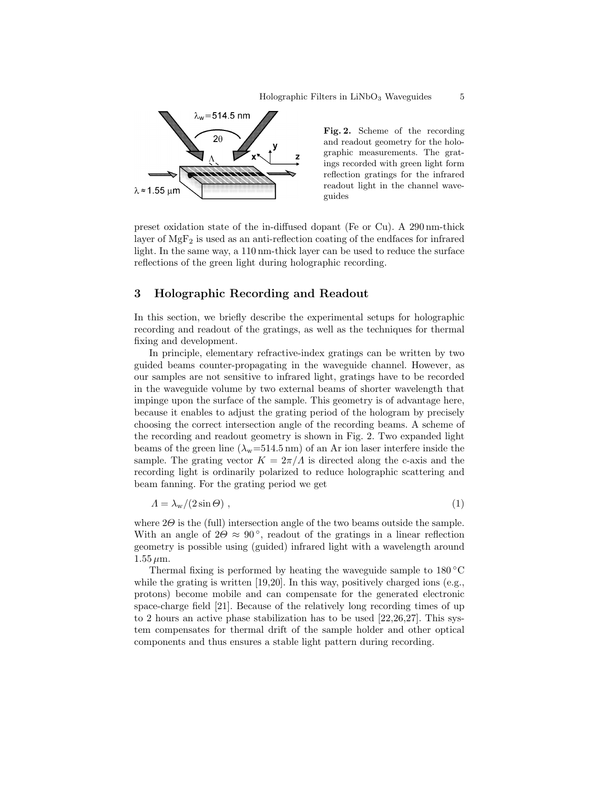

Fig. 2. Scheme of the recording and readout geometry for the holographic measurements. The gratings recorded with green light form reflection gratings for the infrared readout light in the channel waveguides

preset oxidation state of the in-diffused dopant (Fe or Cu). A 290 nm-thick layer of  $MgF_2$  is used as an anti-reflection coating of the endfaces for infrared light. In the same way, a 110 nm-thick layer can be used to reduce the surface reflections of the green light during holographic recording.

## 3 Holographic Recording and Readout

In this section, we briefly describe the experimental setups for holographic recording and readout of the gratings, as well as the techniques for thermal fixing and development.

In principle, elementary refractive-index gratings can be written by two guided beams counter-propagating in the waveguide channel. However, as our samples are not sensitive to infrared light, gratings have to be recorded in the waveguide volume by two external beams of shorter wavelength that impinge upon the surface of the sample. This geometry is of advantage here, because it enables to adjust the grating period of the hologram by precisely choosing the correct intersection angle of the recording beams. A scheme of the recording and readout geometry is shown in Fig. 2. Two expanded light beams of the green line  $(\lambda_{\rm w}=514.5 \,\rm nm)$  of an Ar ion laser interfere inside the sample. The grating vector  $K = 2\pi/\Lambda$  is directed along the c-axis and the recording light is ordinarily polarized to reduce holographic scattering and beam fanning. For the grating period we get

$$
A = \lambda_{\rm w}/(2\sin\Theta) \tag{1}
$$

where  $2\Theta$  is the (full) intersection angle of the two beams outside the sample. With an angle of  $2\Theta \approx 90^{\degree}$ , readout of the gratings in a linear reflection geometry is possible using (guided) infrared light with a wavelength around  $1.55 \,\mu m.$ 

Thermal fixing is performed by heating the waveguide sample to 180 ◦C while the grating is written  $[19,20]$ . In this way, positively charged ions (e.g., protons) become mobile and can compensate for the generated electronic space-charge field [21]. Because of the relatively long recording times of up to 2 hours an active phase stabilization has to be used  $[22,26,27]$ . This system compensates for thermal drift of the sample holder and other optical components and thus ensures a stable light pattern during recording.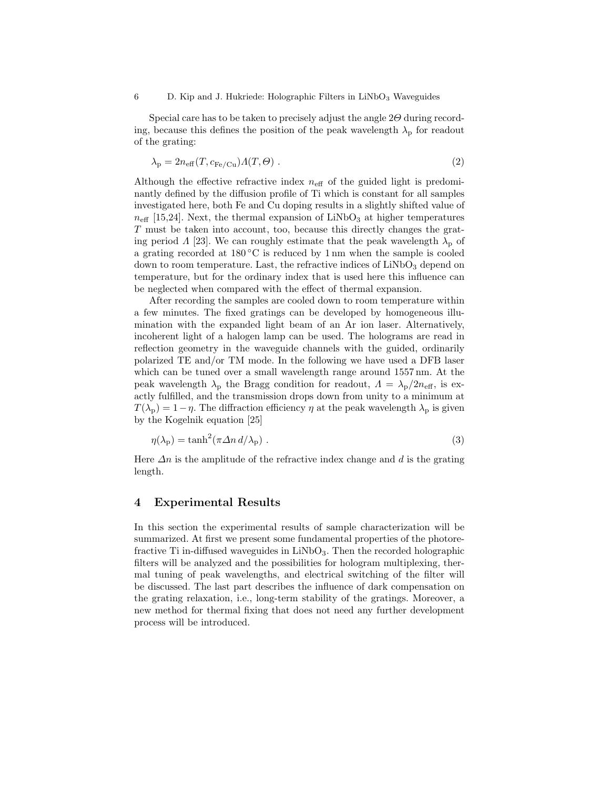Special care has to be taken to precisely adjust the angle  $2\Theta$  during recording, because this defines the position of the peak wavelength  $\lambda_{\rm p}$  for readout of the grating:

$$
\lambda_{\rm p} = 2n_{\rm eff}(T, c_{\rm Fe/Cu})\Lambda(T, \Theta) \tag{2}
$$

Although the effective refractive index  $n_{\text{eff}}$  of the guided light is predominantly defined by the diffusion profile of Ti which is constant for all samples investigated here, both Fe and Cu doping results in a slightly shifted value of  $n_{\text{eff}}$  [15,24]. Next, the thermal expansion of LiNbO<sub>3</sub> at higher temperatures T must be taken into account, too, because this directly changes the grating period  $\Lambda$  [23]. We can roughly estimate that the peak wavelength  $\lambda_{\rm p}$  of a grating recorded at  $180\,^{\circ}\text{C}$  is reduced by 1 nm when the sample is cooled down to room temperature. Last, the refractive indices of  $LiNbO<sub>3</sub>$  depend on temperature, but for the ordinary index that is used here this influence can be neglected when compared with the effect of thermal expansion.

After recording the samples are cooled down to room temperature within a few minutes. The fixed gratings can be developed by homogeneous illumination with the expanded light beam of an Ar ion laser. Alternatively, incoherent light of a halogen lamp can be used. The holograms are read in reflection geometry in the waveguide channels with the guided, ordinarily polarized TE and/or TM mode. In the following we have used a DFB laser which can be tuned over a small wavelength range around 1557 nm. At the peak wavelength  $\lambda_p$  the Bragg condition for readout,  $\Lambda = \lambda_p/2n_{\text{eff}}$ , is exactly fulfilled, and the transmission drops down from unity to a minimum at  $T(\lambda_{p}) = 1 - \eta$ . The diffraction efficiency  $\eta$  at the peak wavelength  $\lambda_{p}$  is given by the Kogelnik equation [25]

$$
\eta(\lambda_{\rm p}) = \tanh^2(\pi \Delta n \, d/\lambda_{\rm p}) \ . \tag{3}
$$

Here  $\Delta n$  is the amplitude of the refractive index change and d is the grating length.

# 4 Experimental Results

In this section the experimental results of sample characterization will be summarized. At first we present some fundamental properties of the photorefractive Ti in-diffused waveguides in  $LiNbO<sub>3</sub>$ . Then the recorded holographic filters will be analyzed and the possibilities for hologram multiplexing, thermal tuning of peak wavelengths, and electrical switching of the filter will be discussed. The last part describes the influence of dark compensation on the grating relaxation, i.e., long-term stability of the gratings. Moreover, a new method for thermal fixing that does not need any further development process will be introduced.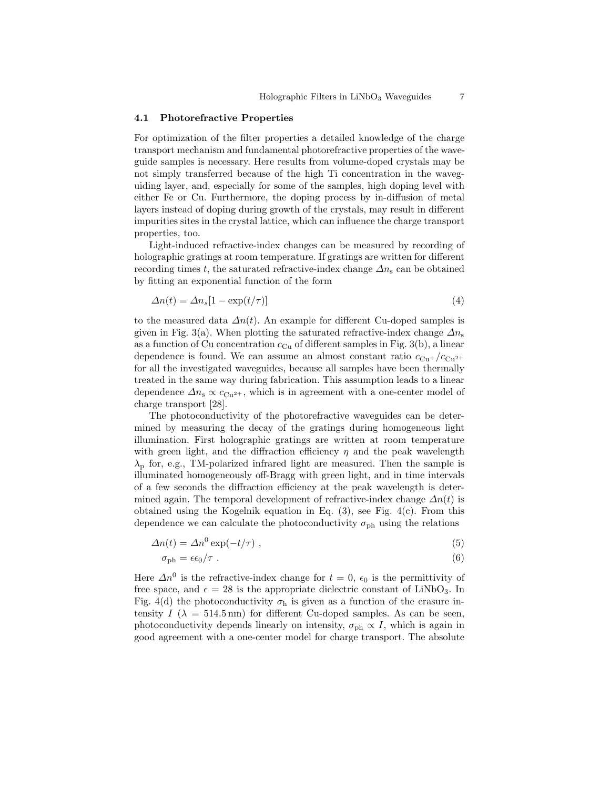#### 4.1 Photorefractive Properties

For optimization of the filter properties a detailed knowledge of the charge transport mechanism and fundamental photorefractive properties of the waveguide samples is necessary. Here results from volume-doped crystals may be not simply transferred because of the high Ti concentration in the waveguiding layer, and, especially for some of the samples, high doping level with either Fe or Cu. Furthermore, the doping process by in-diffusion of metal layers instead of doping during growth of the crystals, may result in different impurities sites in the crystal lattice, which can influence the charge transport properties, too.

Light-induced refractive-index changes can be measured by recording of holographic gratings at room temperature. If gratings are written for different recording times t, the saturated refractive-index change  $\Delta n_s$  can be obtained by fitting an exponential function of the form

$$
\Delta n(t) = \Delta n_s [1 - \exp(t/\tau)] \tag{4}
$$

to the measured data  $\Delta n(t)$ . An example for different Cu-doped samples is given in Fig. 3(a). When plotting the saturated refractive-index change  $\Delta n_{\rm s}$ as a function of Cu concentration  $c_{Cu}$  of different samples in Fig. 3(b), a linear dependence is found. We can assume an almost constant ratio  $c_{\text{Cu+}}/c_{\text{Cu+}}$ for all the investigated waveguides, because all samples have been thermally treated in the same way during fabrication. This assumption leads to a linear dependence  $\Delta n_s \propto c_{Cu^{2+}}$ , which is in agreement with a one-center model of charge transport [28].

The photoconductivity of the photorefractive waveguides can be determined by measuring the decay of the gratings during homogeneous light illumination. First holographic gratings are written at room temperature with green light, and the diffraction efficiency  $\eta$  and the peak wavelength  $\lambda_{\rm p}$  for, e.g., TM-polarized infrared light are measured. Then the sample is illuminated homogeneously off-Bragg with green light, and in time intervals of a few seconds the diffraction efficiency at the peak wavelength is determined again. The temporal development of refractive-index change  $\Delta n(t)$  is obtained using the Kogelnik equation in Eq. (3), see Fig. 4(c). From this dependence we can calculate the photoconductivity  $\sigma_{ph}$  using the relations

$$
\Delta n(t) = \Delta n^0 \exp(-t/\tau) \tag{5}
$$

$$
\sigma_{\rm ph} = \epsilon \epsilon_0 / \tau \tag{6}
$$

Here  $\Delta n^0$  is the refractive-index change for  $t = 0$ ,  $\epsilon_0$  is the permittivity of free space, and  $\epsilon = 28$  is the appropriate dielectric constant of LiNbO<sub>3</sub>. In Fig. 4(d) the photoconductivity  $\sigma_{\rm h}$  is given as a function of the erasure intensity  $I(\lambda = 514.5 \text{ nm})$  for different Cu-doped samples. As can be seen, photoconductivity depends linearly on intensity,  $\sigma_{\rm ph} \propto I$ , which is again in good agreement with a one-center model for charge transport. The absolute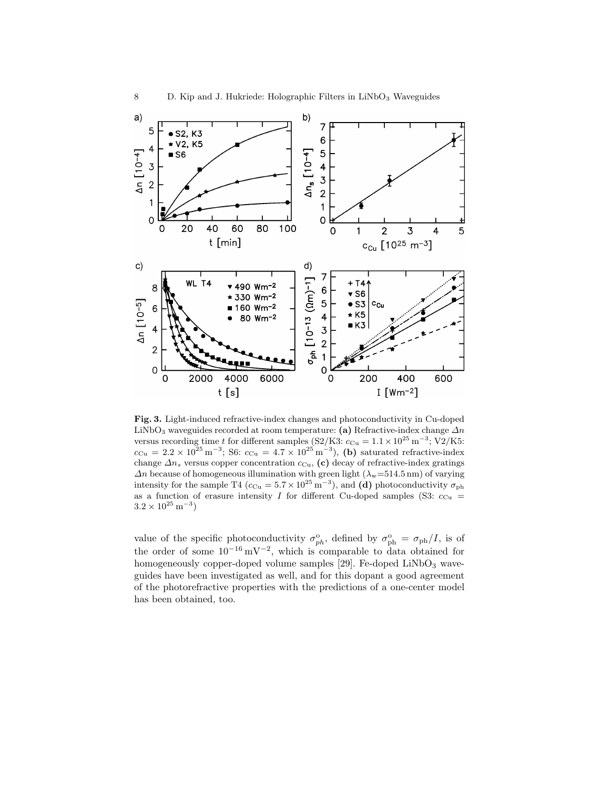

Fig. 3. Light-induced refractive-index changes and photoconductivity in Cu-doped LiNbO<sub>3</sub> waveguides recorded at room temperature: (a) Refractive-index change  $\Delta n$ versus recording time t for different samples (S2/K3:  $c_{Cu} = 1.1 \times 10^{25} \text{ m}^{-3}$ ; V2/K5:  $c_{\text{Cu}} = 2.2 \times 10^{25} \,\text{m}^{-3}$ ; S6:  $c_{\text{Cu}} = 4.7 \times 10^{25} \,\text{m}^{-3}$ ), (b) saturated refractive-index change  $\Delta n_s$  versus copper concentration  $c_{\text{Cu}}$ , (c) decay of refractive-index gratings  $\Delta n$  because of homogeneous illumination with green light  $(\lambda_{\rm w}=514.5 \,\rm nm)$  of varying intensity for the sample T4 ( $c_{\text{Cu}} = 5.7 \times 10^{25} \text{ m}^{-3}$ ), and (d) photoconductivity  $\sigma_{\text{ph}}$ as a function of erasure intensity I for different Cu-doped samples (S3:  $c_{\text{Cu}}$  =  $3.2 \times 10^{25} \,\mathrm{m}^{-3}$ 

value of the specific photoconductivity  $\sigma_{ph}^{\circ}$ , defined by  $\sigma_{ph}^{\circ} = \sigma_{ph}/I$ , is of the order of some  $10^{-16}$  mV<sup>-2</sup>, which is comparable to data obtained for homogeneously copper-doped volume samples [29]. Fe-doped  $LiNbO<sub>3</sub>$  waveguides have been investigated as well, and for this dopant a good agreement of the photorefractive properties with the predictions of a one-center model has been obtained, too.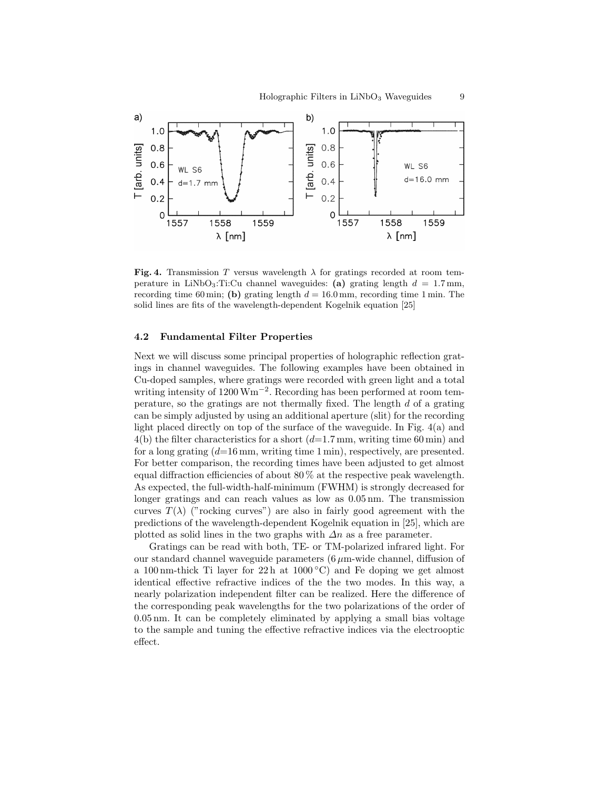

Fig. 4. Transmission T versus wavelength  $\lambda$  for gratings recorded at room temperature in LiNbO<sub>3</sub>:Ti:Cu channel waveguides: (a) grating length  $d = 1.7$  mm, recording time 60 min; (b) grating length  $d = 16.0$  mm, recording time 1 min. The solid lines are fits of the wavelength-dependent Kogelnik equation [25]

## 4.2 Fundamental Filter Properties

Next we will discuss some principal properties of holographic reflection gratings in channel waveguides. The following examples have been obtained in Cu-doped samples, where gratings were recorded with green light and a total writing intensity of 1200 Wm<sup>-2</sup>. Recording has been performed at room temperature, so the gratings are not thermally fixed. The length  $d$  of a grating can be simply adjusted by using an additional aperture (slit) for the recording light placed directly on top of the surface of the waveguide. In Fig. 4(a) and  $4(b)$  the filter characteristics for a short  $(d=1.7 \text{ mm}, \text{writing time } 60 \text{ min})$  and for a long grating  $(d=16 \text{ mm})$ , writing time 1 min), respectively, are presented. For better comparison, the recording times have been adjusted to get almost equal diffraction efficiencies of about 80 % at the respective peak wavelength. As expected, the full-width-half-minimum (FWHM) is strongly decreased for longer gratings and can reach values as low as 0.05 nm. The transmission curves  $T(\lambda)$  ("rocking curves") are also in fairly good agreement with the predictions of the wavelength-dependent Kogelnik equation in [25], which are plotted as solid lines in the two graphs with  $\Delta n$  as a free parameter.

Gratings can be read with both, TE- or TM-polarized infrared light. For our standard channel waveguide parameters  $(6 \mu m$ -wide channel, diffusion of a 100 nm-thick Ti layer for 22 h at  $1000\degree C$  and Fe doping we get almost identical effective refractive indices of the the two modes. In this way, a nearly polarization independent filter can be realized. Here the difference of the corresponding peak wavelengths for the two polarizations of the order of 0.05 nm. It can be completely eliminated by applying a small bias voltage to the sample and tuning the effective refractive indices via the electrooptic effect.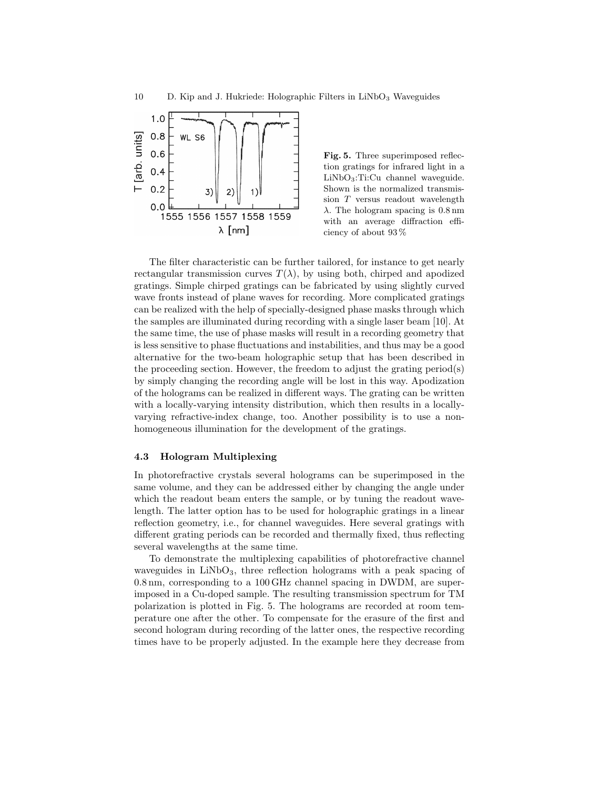

Fig. 5. Three superimposed reflection gratings for infrared light in a  $LiNbO<sub>3</sub>:Ti:Cu channel waveguide.$ Shown is the normalized transmission T versus readout wavelength  $\lambda$ . The hologram spacing is 0.8 nm with an average diffraction efficiency of about 93 %

The filter characteristic can be further tailored, for instance to get nearly rectangular transmission curves  $T(\lambda)$ , by using both, chirped and apodized gratings. Simple chirped gratings can be fabricated by using slightly curved wave fronts instead of plane waves for recording. More complicated gratings can be realized with the help of specially-designed phase masks through which the samples are illuminated during recording with a single laser beam [10]. At the same time, the use of phase masks will result in a recording geometry that is less sensitive to phase fluctuations and instabilities, and thus may be a good alternative for the two-beam holographic setup that has been described in the proceeding section. However, the freedom to adjust the grating period(s) by simply changing the recording angle will be lost in this way. Apodization of the holograms can be realized in different ways. The grating can be written with a locally-varying intensity distribution, which then results in a locallyvarying refractive-index change, too. Another possibility is to use a nonhomogeneous illumination for the development of the gratings.

#### 4.3 Hologram Multiplexing

In photorefractive crystals several holograms can be superimposed in the same volume, and they can be addressed either by changing the angle under which the readout beam enters the sample, or by tuning the readout wavelength. The latter option has to be used for holographic gratings in a linear reflection geometry, i.e., for channel waveguides. Here several gratings with different grating periods can be recorded and thermally fixed, thus reflecting several wavelengths at the same time.

To demonstrate the multiplexing capabilities of photorefractive channel waveguides in  $LiNbO<sub>3</sub>$ , three reflection holograms with a peak spacing of 0.8 nm, corresponding to a 100 GHz channel spacing in DWDM, are superimposed in a Cu-doped sample. The resulting transmission spectrum for TM polarization is plotted in Fig. 5. The holograms are recorded at room temperature one after the other. To compensate for the erasure of the first and second hologram during recording of the latter ones, the respective recording times have to be properly adjusted. In the example here they decrease from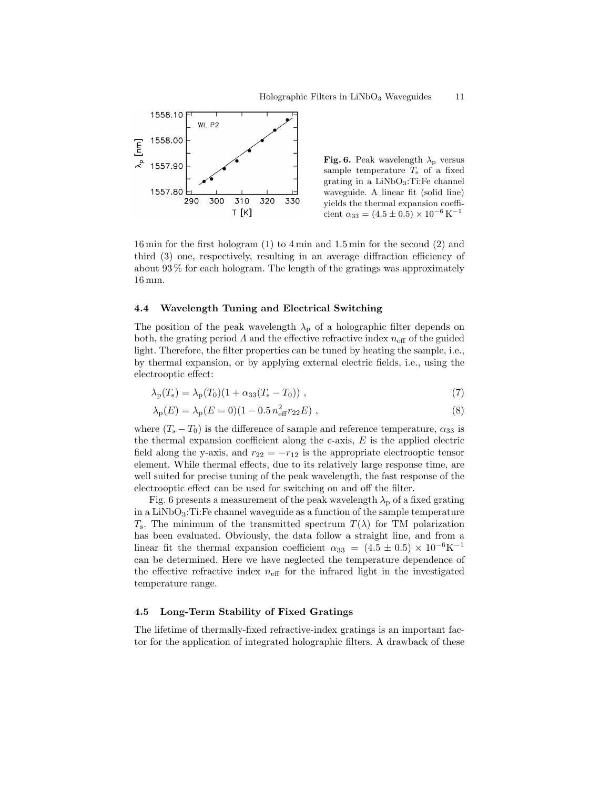

Fig. 6. Peak wavelength  $\lambda_{\rm p}$  versus sample temperature  $T<sub>s</sub>$  of a fixed grating in a LiNbO3:Ti:Fe channel waveguide. A linear fit (solid line) yields the thermal expansion coefficient  $\alpha_{33} = (4.5 \pm 0.5) \times 10^{-6} \,\mathrm{K}^{-1}$ 

16 min for the first hologram (1) to 4 min and 1.5 min for the second (2) and third (3) one, respectively, resulting in an average diffraction efficiency of about 93 % for each hologram. The length of the gratings was approximately 16 mm.

## 4.4 Wavelength Tuning and Electrical Switching

The position of the peak wavelength  $\lambda_{\rm p}$  of a holographic filter depends on both, the grating period  $\Lambda$  and the effective refractive index  $n_{\text{eff}}$  of the guided light. Therefore, the filter properties can be tuned by heating the sample, i.e., by thermal expansion, or by applying external electric fields, i.e., using the electrooptic effect:

$$
\lambda_{\rm p}(T_{\rm s}) = \lambda_{\rm p}(T_0)(1 + \alpha_{33}(T_{\rm s} - T_0)), \qquad (7)
$$

$$
\lambda_{\rm p}(E) = \lambda_{\rm p}(E=0)(1 - 0.5 n_{\rm eff}^2 r_{22} E) , \qquad (8)
$$

where  $(T_s - T_0)$  is the difference of sample and reference temperature,  $\alpha_{33}$  is the thermal expansion coefficient along the c-axis,  $E$  is the applied electric field along the y-axis, and  $r_{22} = -r_{12}$  is the appropriate electrooptic tensor element. While thermal effects, due to its relatively large response time, are well suited for precise tuning of the peak wavelength, the fast response of the electrooptic effect can be used for switching on and off the filter.

Fig. 6 presents a measurement of the peak wavelength  $\lambda_{p}$  of a fixed grating in a  $LiNbO<sub>3</sub>:Ti:Fe$  channel waveguide as a function of the sample temperature  $T_s$ . The minimum of the transmitted spectrum  $T(\lambda)$  for TM polarization has been evaluated. Obviously, the data follow a straight line, and from a linear fit the thermal expansion coefficient  $\alpha_{33} = (4.5 \pm 0.5) \times 10^{-6} \text{K}^{-1}$ can be determined. Here we have neglected the temperature dependence of the effective refractive index  $n_{\text{eff}}$  for the infrared light in the investigated temperature range.

### 4.5 Long-Term Stability of Fixed Gratings

The lifetime of thermally-fixed refractive-index gratings is an important factor for the application of integrated holographic filters. A drawback of these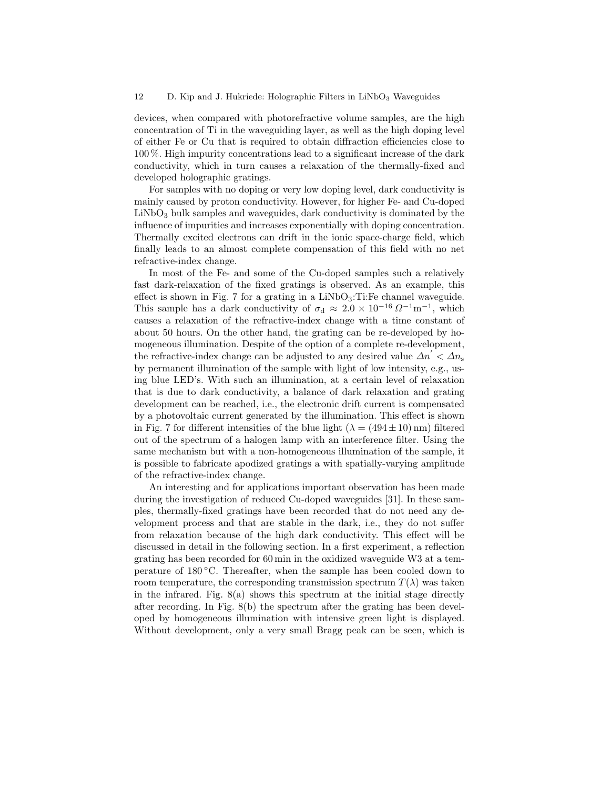devices, when compared with photorefractive volume samples, are the high concentration of Ti in the waveguiding layer, as well as the high doping level of either Fe or Cu that is required to obtain diffraction efficiencies close to 100 %. High impurity concentrations lead to a significant increase of the dark conductivity, which in turn causes a relaxation of the thermally-fixed and developed holographic gratings.

For samples with no doping or very low doping level, dark conductivity is mainly caused by proton conductivity. However, for higher Fe- and Cu-doped  $LiNbO<sub>3</sub>$  bulk samples and waveguides, dark conductivity is dominated by the influence of impurities and increases exponentially with doping concentration. Thermally excited electrons can drift in the ionic space-charge field, which finally leads to an almost complete compensation of this field with no net refractive-index change.

In most of the Fe- and some of the Cu-doped samples such a relatively fast dark-relaxation of the fixed gratings is observed. As an example, this effect is shown in Fig. 7 for a grating in a  $LiNbO<sub>3</sub>:Ti:Fe$  channel waveguide. This sample has a dark conductivity of  $\sigma_d \approx 2.0 \times 10^{-16} \Omega^{-1} \text{m}^{-1}$ , which causes a relaxation of the refractive-index change with a time constant of about 50 hours. On the other hand, the grating can be re-developed by homogeneous illumination. Despite of the option of a complete re-development, the refractive-index change can be adjusted to any desired value  $\Delta n' < \Delta n_s$ by permanent illumination of the sample with light of low intensity, e.g., using blue LED's. With such an illumination, at a certain level of relaxation that is due to dark conductivity, a balance of dark relaxation and grating development can be reached, i.e., the electronic drift current is compensated by a photovoltaic current generated by the illumination. This effect is shown in Fig. 7 for different intensities of the blue light  $(\lambda = (494 \pm 10) \text{ nm})$  filtered out of the spectrum of a halogen lamp with an interference filter. Using the same mechanism but with a non-homogeneous illumination of the sample, it is possible to fabricate apodized gratings a with spatially-varying amplitude of the refractive-index change.

An interesting and for applications important observation has been made during the investigation of reduced Cu-doped waveguides [31]. In these samples, thermally-fixed gratings have been recorded that do not need any development process and that are stable in the dark, i.e., they do not suffer from relaxation because of the high dark conductivity. This effect will be discussed in detail in the following section. In a first experiment, a reflection grating has been recorded for 60 min in the oxidized waveguide W3 at a temperature of 180 ◦C. Thereafter, when the sample has been cooled down to room temperature, the corresponding transmission spectrum  $T(\lambda)$  was taken in the infrared. Fig. 8(a) shows this spectrum at the initial stage directly after recording. In Fig. 8(b) the spectrum after the grating has been developed by homogeneous illumination with intensive green light is displayed. Without development, only a very small Bragg peak can be seen, which is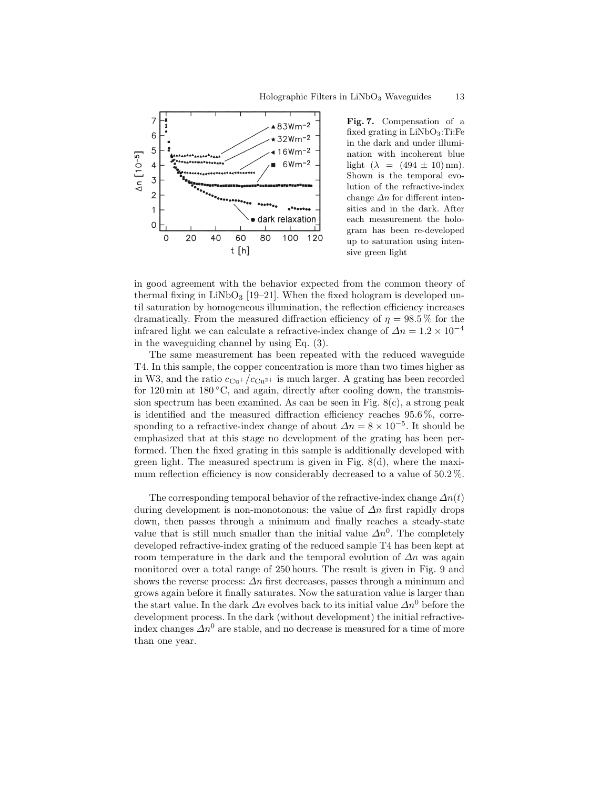

Fig. 7. Compensation of a fixed grating in  $LiNbO<sub>3</sub>:Ti:Fe$ in the dark and under illumination with incoherent blue light  $(\lambda = (494 \pm 10) \text{ nm}).$ Shown is the temporal evolution of the refractive-index change  $\Delta n$  for different intensities and in the dark. After each measurement the hologram has been re-developed up to saturation using intensive green light

in good agreement with the behavior expected from the common theory of thermal fixing in  $LiNbO<sub>3</sub>$  [19–21]. When the fixed hologram is developed until saturation by homogeneous illumination, the reflection efficiency increases dramatically. From the measured diffraction efficiency of  $\eta = 98.5\%$  for the infrared light we can calculate a refractive-index change of  $\Delta n = 1.2 \times 10^{-4}$ in the waveguiding channel by using Eq. (3).

The same measurement has been repeated with the reduced waveguide T4. In this sample, the copper concentration is more than two times higher as in W3, and the ratio  $c_{\text{Cu+}}/c_{\text{Cu+}}$  is much larger. A grating has been recorded for 120 min at  $180\textdegree C$ , and again, directly after cooling down, the transmission spectrum has been examined. As can be seen in Fig.  $8(c)$ , a strong peak is identified and the measured diffraction efficiency reaches 95.6 %, corresponding to a refractive-index change of about  $\Delta n = 8 \times 10^{-5}$ . It should be emphasized that at this stage no development of the grating has been performed. Then the fixed grating in this sample is additionally developed with green light. The measured spectrum is given in Fig. 8(d), where the maximum reflection efficiency is now considerably decreased to a value of 50.2 %.

The corresponding temporal behavior of the refractive-index change  $\Delta n(t)$ during development is non-monotonous: the value of  $\Delta n$  first rapidly drops down, then passes through a minimum and finally reaches a steady-state value that is still much smaller than the initial value  $\Delta n^0$ . The completely developed refractive-index grating of the reduced sample T4 has been kept at room temperature in the dark and the temporal evolution of  $\Delta n$  was again monitored over a total range of 250 hours. The result is given in Fig. 9 and shows the reverse process:  $\Delta n$  first decreases, passes through a minimum and grows again before it finally saturates. Now the saturation value is larger than the start value. In the dark  $\Delta n$  evolves back to its initial value  $\Delta n^0$  before the development process. In the dark (without development) the initial refractiveindex changes  $\Delta n^0$  are stable, and no decrease is measured for a time of more than one year.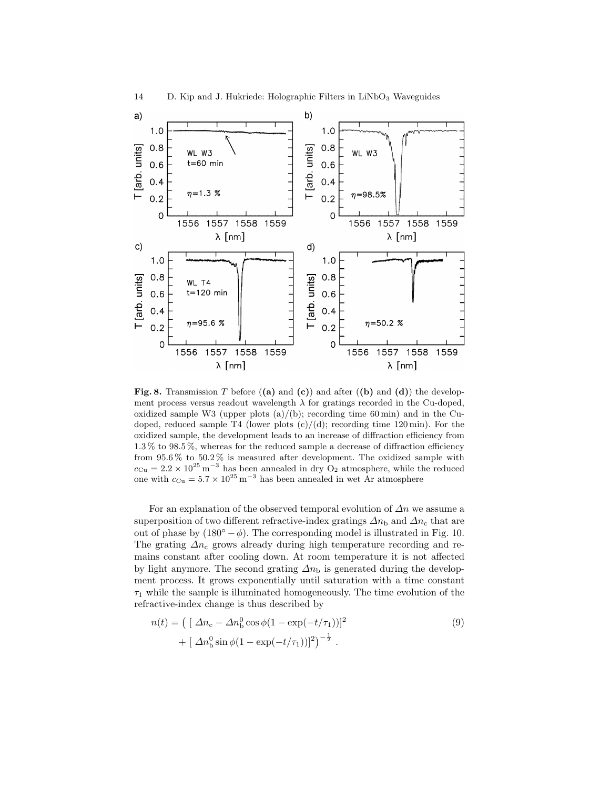

Fig. 8. Transmission T before  $( (a)$  and  $( c) )$  and after  $( (b)$  and  $( d) )$  the development process versus readout wavelength  $\lambda$  for gratings recorded in the Cu-doped, oxidized sample W3 (upper plots  $(a)/(b)$ ; recording time 60 min) and in the Cudoped, reduced sample T4 (lower plots  $(c)/(d)$ ; recording time 120 min). For the oxidized sample, the development leads to an increase of diffraction efficiency from 1.3 % to 98.5 %, whereas for the reduced sample a decrease of diffraction efficiency from 95.6 % to 50.2 % is measured after development. The oxidized sample with  $c_{\text{Cu}} = 2.2 \times 10^{25} \text{ m}^{-3}$  has been annealed in dry O<sub>2</sub> atmosphere, while the reduced one with  $c_{\text{Cu}} = 5.7 \times 10^{25} \text{ m}^{-3}$  has been annealed in wet Ar atmosphere

For an explanation of the observed temporal evolution of  $\Delta n$  we assume a superposition of two different refractive-index gratings  $\Delta n_{\rm b}$  and  $\Delta n_{\rm c}$  that are out of phase by  $(180° - \phi)$ . The corresponding model is illustrated in Fig. 10. The grating  $\Delta n_c$  grows already during high temperature recording and remains constant after cooling down. At room temperature it is not affected by light anymore. The second grating  $\Delta n_{\rm b}$  is generated during the development process. It grows exponentially until saturation with a time constant  $\tau_1$  while the sample is illuminated homogeneously. The time evolution of the refractive-index change is thus described by

$$
n(t) = \left( \left[ \Delta n_c - \Delta n_b^0 \cos \phi (1 - \exp(-t/\tau_1)) \right]^2 + \left[ \Delta n_b^0 \sin \phi (1 - \exp(-t/\tau_1)) \right]^2 \right)^{-\frac{1}{2}}.
$$
\n(9)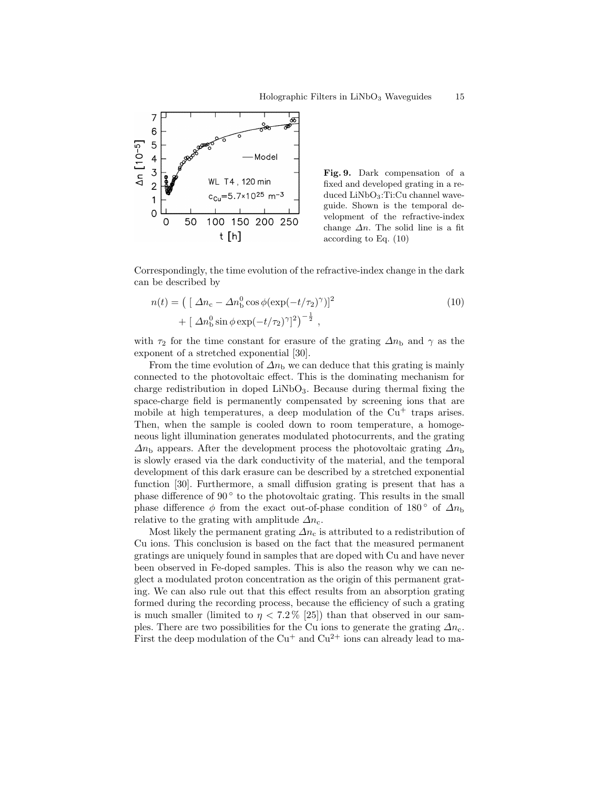

Fig. 9. Dark compensation of a fixed and developed grating in a reduced LiNbO3:Ti:Cu channel waveguide. Shown is the temporal development of the refractive-index change  $\Delta n$ . The solid line is a fit according to Eq. (10)

Correspondingly, the time evolution of the refractive-index change in the dark can be described by

$$
n(t) = \left( \left[ \Delta n_{\rm c} - \Delta n_{\rm b}^0 \cos \phi (\exp(-t/\tau_2)^{\gamma}) \right]^2 + \left[ \Delta n_{\rm b}^0 \sin \phi \exp(-t/\tau_2)^{\gamma} \right]^2 \right)^{-\frac{1}{2}}, \qquad (10)
$$

with  $\tau_2$  for the time constant for erasure of the grating  $\Delta n_{\rm b}$  and  $\gamma$  as the exponent of a stretched exponential [30].

From the time evolution of  $\Delta n_{\rm b}$  we can deduce that this grating is mainly connected to the photovoltaic effect. This is the dominating mechanism for charge redistribution in doped  $LiNbO<sub>3</sub>$ . Because during thermal fixing the space-charge field is permanently compensated by screening ions that are mobile at high temperatures, a deep modulation of the  $Cu<sup>+</sup>$  traps arises. Then, when the sample is cooled down to room temperature, a homogeneous light illumination generates modulated photocurrents, and the grating  $\Delta n_{\rm b}$  appears. After the development process the photovoltaic grating  $\Delta n_{\rm b}$ is slowly erased via the dark conductivity of the material, and the temporal development of this dark erasure can be described by a stretched exponential function [30]. Furthermore, a small diffusion grating is present that has a phase difference of 90° to the photovoltaic grating. This results in the small phase difference  $\phi$  from the exact out-of-phase condition of 180 ° of  $\Delta n_{\rm b}$ relative to the grating with amplitude  $\Delta n_c$ .

Most likely the permanent grating  $\Delta n_c$  is attributed to a redistribution of Cu ions. This conclusion is based on the fact that the measured permanent gratings are uniquely found in samples that are doped with Cu and have never been observed in Fe-doped samples. This is also the reason why we can neglect a modulated proton concentration as the origin of this permanent grating. We can also rule out that this effect results from an absorption grating formed during the recording process, because the efficiency of such a grating is much smaller (limited to  $\eta < 7.2\%$  [25]) than that observed in our samples. There are two possibilities for the Cu ions to generate the grating  $\Delta n_c$ . First the deep modulation of the  $Cu^+$  and  $Cu^{2+}$  ions can already lead to ma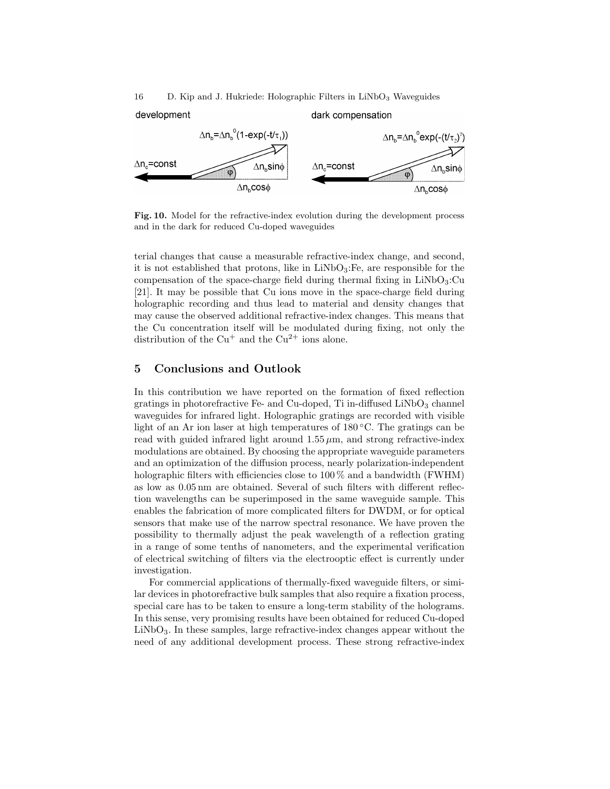16 D. Kip and J. Hukriede: Holographic Filters in  $LiNbO<sub>3</sub>$  Waveguides

development dark compensation  $\Delta n_{\rm b} = \Delta n_{\rm b}^{\rm o} (1 - \exp(-t/\tau_1))$  $\Delta n_{\rm b} = \Delta n_{\rm b}^{\circ}$ exp(-(t/ $\tau$ <sub>2</sub>)<sup>\*</sup>)  $\Delta n_{\rm e}$ =const  $\Delta n_c$ =const ∆n<sub>b</sub>sinφ  $\Delta$ n $_{\text{b}}$ sin $\phi$  $\Delta n_{\rm h}$ cos $\phi$  $\Delta n_{\rm h}$ cos $\phi$ 

Fig. 10. Model for the refractive-index evolution during the development process and in the dark for reduced Cu-doped waveguides

terial changes that cause a measurable refractive-index change, and second, it is not established that protons, like in  $LiNbO<sub>3</sub>$ : Fe, are responsible for the compensation of the space-charge field during thermal fixing in  $LiNbO<sub>3</sub>:Cu$ [21]. It may be possible that Cu ions move in the space-charge field during holographic recording and thus lead to material and density changes that may cause the observed additional refractive-index changes. This means that the Cu concentration itself will be modulated during fixing, not only the distribution of the  $Cu<sup>+</sup>$  and the  $Cu<sup>2+</sup>$  ions alone.

## 5 Conclusions and Outlook

In this contribution we have reported on the formation of fixed reflection gratings in photorefractive Fe- and Cu-doped, Ti in-diffused  $LiNbO<sub>3</sub>$  channel waveguides for infrared light. Holographic gratings are recorded with visible light of an Ar ion laser at high temperatures of 180 ◦C. The gratings can be read with guided infrared light around  $1.55 \mu m$ , and strong refractive-index modulations are obtained. By choosing the appropriate waveguide parameters and an optimization of the diffusion process, nearly polarization-independent holographic filters with efficiencies close to  $100\%$  and a bandwidth (FWHM) as low as 0.05 nm are obtained. Several of such filters with different reflection wavelengths can be superimposed in the same waveguide sample. This enables the fabrication of more complicated filters for DWDM, or for optical sensors that make use of the narrow spectral resonance. We have proven the possibility to thermally adjust the peak wavelength of a reflection grating in a range of some tenths of nanometers, and the experimental verification of electrical switching of filters via the electrooptic effect is currently under investigation.

For commercial applications of thermally-fixed waveguide filters, or similar devices in photorefractive bulk samples that also require a fixation process, special care has to be taken to ensure a long-term stability of the holograms. In this sense, very promising results have been obtained for reduced Cu-doped LiNbO3. In these samples, large refractive-index changes appear without the need of any additional development process. These strong refractive-index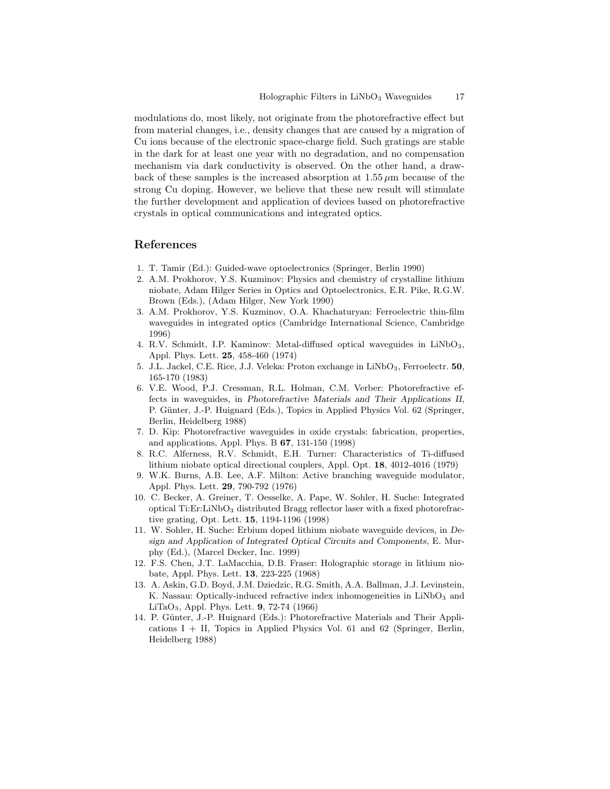modulations do, most likely, not originate from the photorefractive effect but from material changes, i.e., density changes that are caused by a migration of Cu ions because of the electronic space-charge field. Such gratings are stable in the dark for at least one year with no degradation, and no compensation mechanism via dark conductivity is observed. On the other hand, a drawback of these samples is the increased absorption at  $1.55 \mu m$  because of the strong Cu doping. However, we believe that these new result will stimulate the further development and application of devices based on photorefractive crystals in optical communications and integrated optics.

# References

- 1. T. Tamir (Ed.): Guided-wave optoelectronics (Springer, Berlin 1990)
- 2. A.M. Prokhorov, Y.S. Kuzminov: Physics and chemistry of crystalline lithium niobate, Adam Hilger Series in Optics and Optoelectronics, E.R. Pike, R.G.W. Brown (Eds.), (Adam Hilger, New York 1990)
- 3. A.M. Prokhorov, Y.S. Kuzminov, O.A. Khachaturyan: Ferroelectric thin-film waveguides in integrated optics (Cambridge International Science, Cambridge 1996)
- 4. R.V. Schmidt, I.P. Kaminow: Metal-diffused optical waveguides in LiNbO<sub>3</sub>, Appl. Phys. Lett. 25, 458-460 (1974)
- 5. J.L. Jackel, C.E. Rice, J.J. Veleka: Proton exchange in LiNbO<sub>3</sub>, Ferroelectr. 50, 165-170 (1983)
- 6. V.E. Wood, P.J. Cressman, R.L. Holman, C.M. Verber: Photorefractive effects in waveguides, in Photorefractive Materials and Their Applications II, P. Günter, J.-P. Huignard (Eds.), Topics in Applied Physics Vol. 62 (Springer, Berlin, Heidelberg 1988)
- 7. D. Kip: Photorefractive waveguides in oxide crystals: fabrication, properties, and applications, Appl. Phys. B 67, 131-150 (1998)
- 8. R.C. Alferness, R.V. Schmidt, E.H. Turner: Characteristics of Ti-diffused lithium niobate optical directional couplers, Appl. Opt. 18, 4012-4016 (1979)
- 9. W.K. Burns, A.B. Lee, A.F. Milton: Active branching waveguide modulator, Appl. Phys. Lett. 29, 790-792 (1976)
- 10. C. Becker, A. Greiner, T. Oesselke, A. Pape, W. Sohler, H. Suche: Integrated optical Ti:Er:LiNbO<sub>3</sub> distributed Bragg reflector laser with a fixed photorefractive grating, Opt. Lett. 15, 1194-1196 (1998)
- 11. W. Sohler, H. Suche: Erbium doped lithium niobate waveguide devices, in Design and Application of Integrated Optical Circuits and Components, E. Murphy (Ed.), (Marcel Decker, Inc. 1999)
- 12. F.S. Chen, J.T. LaMacchia, D.B. Fraser: Holographic storage in lithium niobate, Appl. Phys. Lett. 13, 223-225 (1968)
- 13. A. Askin, G.D. Boyd, J.M. Dziedzic, R.G. Smith, A.A. Ballman, J.J. Levinstein, K. Nassau: Optically-induced refractive index inhomogeneities in LiNbO<sub>3</sub> and LiTaO3, Appl. Phys. Lett. 9, 72-74 (1966)
- 14. P. Günter, J.-P. Huignard (Eds.): Photorefractive Materials and Their Applications  $I + II$ , Topics in Applied Physics Vol. 61 and 62 (Springer, Berlin, Heidelberg 1988)